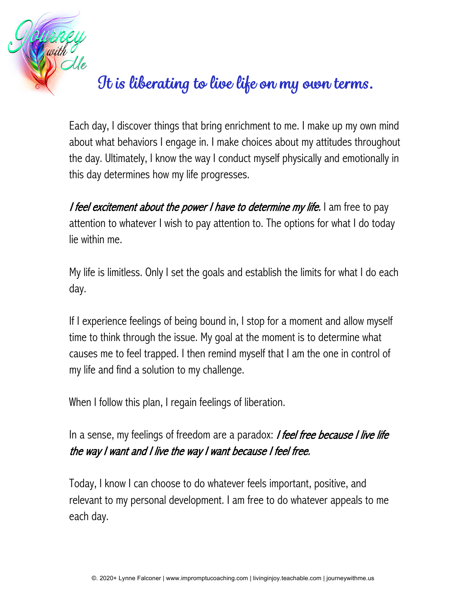

## *It is liberating to live life on my own terms.*

Each day, I discover things that bring enrichment to me. I make up my own mind about what behaviors I engage in. I make choices about my attitudes throughout the day. Ultimately, I know the way I conduct myself physically and emotionally in this day determines how my life progresses.

I feel excitement about the power I have to determine my life. I am free to pay attention to whatever I wish to pay attention to. The options for what I do today lie within me.

My life is limitless. Only I set the goals and establish the limits for what I do each day.

If I experience feelings of being bound in, I stop for a moment and allow myself time to think through the issue. My goal at the moment is to determine what causes me to feel trapped. I then remind myself that I am the one in control of my life and find a solution to my challenge.

When I follow this plan, I regain feelings of liberation.

In a sense, my feelings of freedom are a paradox: *I feel free because I live life* the way I want and I live the way I want because I feel free.

Today, I know I can choose to do whatever feels important, positive, and relevant to my personal development. I am free to do whatever appeals to me each day.